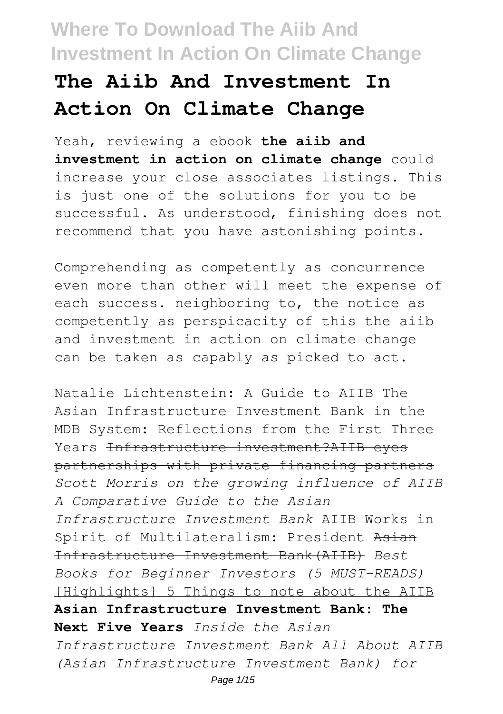# **The Aiib And Investment In Action On Climate Change**

Yeah, reviewing a ebook **the aiib and investment in action on climate change** could increase your close associates listings. This is just one of the solutions for you to be successful. As understood, finishing does not recommend that you have astonishing points.

Comprehending as competently as concurrence even more than other will meet the expense of each success. neighboring to, the notice as competently as perspicacity of this the aiib and investment in action on climate change can be taken as capably as picked to act.

Natalie Lichtenstein: A Guide to AIIB The Asian Infrastructure Investment Bank in the MDB System: Reflections from the First Three Years Infrastructure investment?AIIB eves partnerships with private financing partners *Scott Morris on the growing influence of AIIB A Comparative Guide to the Asian Infrastructure Investment Bank* AIIB Works in Spirit of Multilateralism: President Asian Infrastructure Investment Bank(AIIB) *Best Books for Beginner Investors (5 MUST-READS)* [Highlights] 5 Things to note about the AIIB **Asian Infrastructure Investment Bank: The Next Five Years** *Inside the Asian Infrastructure Investment Bank All About AIIB (Asian Infrastructure Investment Bank) for* Page 1/15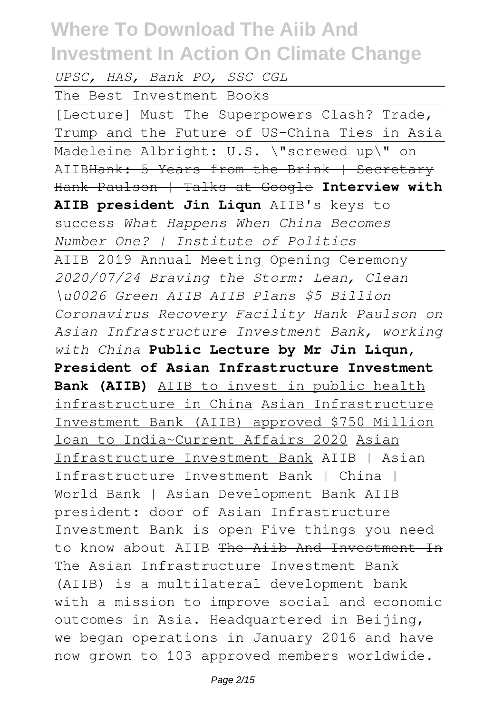*UPSC, HAS, Bank PO, SSC CGL*

The Best Investment Books

[Lecture] Must The Superpowers Clash? Trade, Trump and the Future of US-China Ties in Asia Madeleine Albright: U.S. \"screwed up\" on AIIBHank: 5 Years from the Brink | Secretary Hank Paulson | Talks at Google **Interview with AIIB president Jin Liqun** AIIB's keys to success *What Happens When China Becomes Number One? | Institute of Politics* AIIB 2019 Annual Meeting Opening Ceremony *2020/07/24 Braving the Storm: Lean, Clean \u0026 Green AIIB AIIB Plans \$5 Billion Coronavirus Recovery Facility Hank Paulson on Asian Infrastructure Investment Bank, working with China* **Public Lecture by Mr Jin Liqun, President of Asian Infrastructure Investment Bank (AIIB)** AIIB to invest in public health infrastructure in China Asian Infrastructure Investment Bank (AIIB) approved \$750 Million loan to India~Current Affairs 2020 Asian Infrastructure Investment Bank AIIB | Asian Infrastructure Investment Bank | China | World Bank | Asian Development Bank AIIB president: door of Asian Infrastructure Investment Bank is open Five things you need to know about AIIB The Aiib And Investment In The Asian Infrastructure Investment Bank (AIIB) is a multilateral development bank with a mission to improve social and economic outcomes in Asia. Headquartered in Beijing, we began operations in January 2016 and have now grown to 103 approved members worldwide.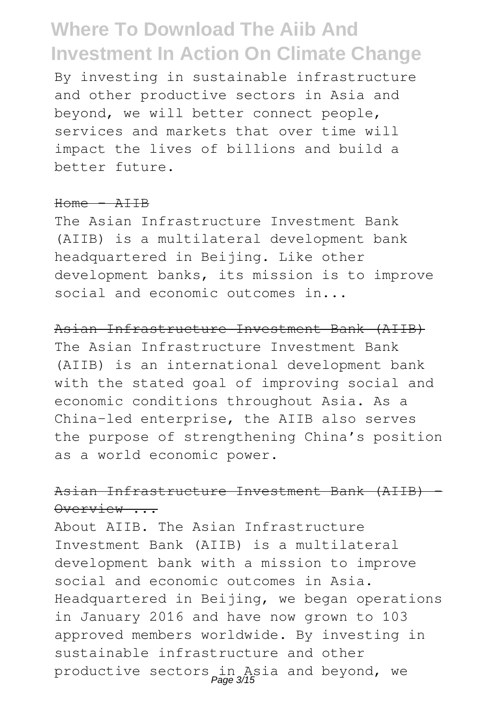By investing in sustainable infrastructure and other productive sectors in Asia and beyond, we will better connect people, services and markets that over time will impact the lives of billions and build a better future.

#### $Home - AITR$

The Asian Infrastructure Investment Bank (AIIB) is a multilateral development bank headquartered in Beijing. Like other development banks, its mission is to improve social and economic outcomes in...

Asian Infrastructure Investment Bank (AIIB) The Asian Infrastructure Investment Bank (AIIB) is an international development bank with the stated goal of improving social and economic conditions throughout Asia. As a China-led enterprise, the AIIB also serves the purpose of strengthening China's position as a world economic power.

### Asian Infrastructure Investment Bank (AIIB) - Overview ...

About AIIB. The Asian Infrastructure Investment Bank (AIIB) is a multilateral development bank with a mission to improve social and economic outcomes in Asia. Headquartered in Beijing, we began operations in January 2016 and have now grown to 103 approved members worldwide. By investing in sustainable infrastructure and other productive sectors in Asia and beyond, we Page 3/15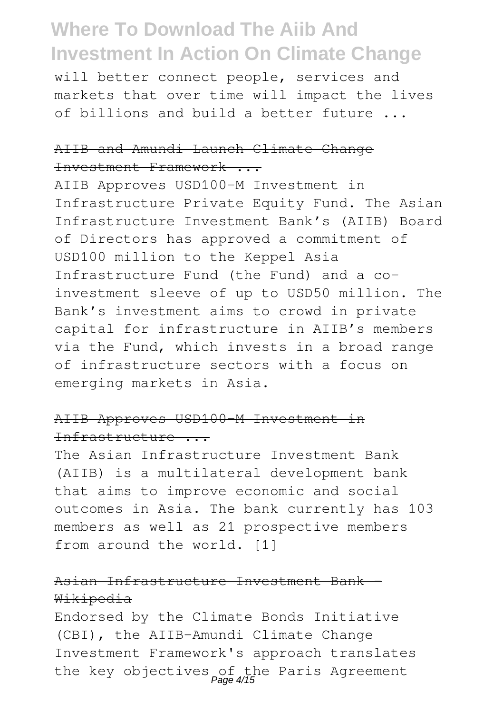will better connect people, services and markets that over time will impact the lives of billions and build a better future ...

#### AIIB and Amundi Launch Climate Change Investment Framework ...

AIIB Approves USD100-M Investment in Infrastructure Private Equity Fund. The Asian Infrastructure Investment Bank's (AIIB) Board of Directors has approved a commitment of USD100 million to the Keppel Asia Infrastructure Fund (the Fund) and a coinvestment sleeve of up to USD50 million. The Bank's investment aims to crowd in private capital for infrastructure in AIIB's members via the Fund, which invests in a broad range of infrastructure sectors with a focus on emerging markets in Asia.

### AIIB Approves USD100-M Investment in Infrastructure ...

The Asian Infrastructure Investment Bank (AIIB) is a multilateral development bank that aims to improve economic and social outcomes in Asia. The bank currently has 103 members as well as 21 prospective members from around the world. [1]

### Asian Infrastructure Investment Bank - Wikipedia

Endorsed by the Climate Bonds Initiative (CBI), the AIIB-Amundi Climate Change Investment Framework's approach translates the key objectives of the Paris Agreement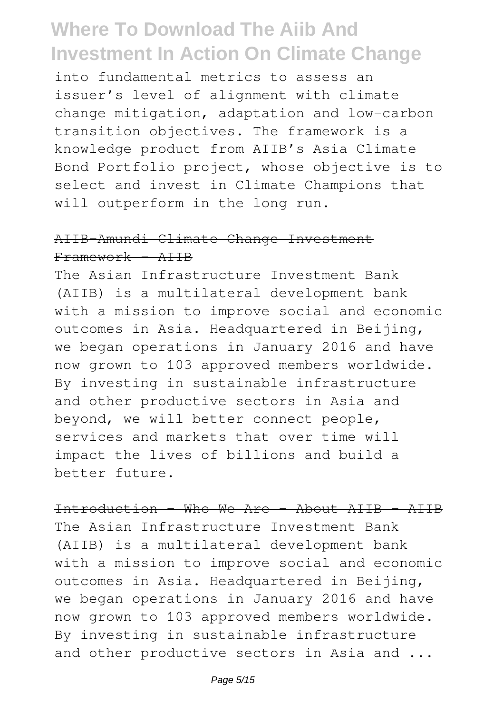into fundamental metrics to assess an issuer's level of alignment with climate change mitigation, adaptation and low-carbon transition objectives. The framework is a knowledge product from AIIB's Asia Climate Bond Portfolio project, whose objective is to select and invest in Climate Champions that will outperform in the long run.

#### AIIB-Amundi Climate Change Investment Framework - AIIB

The Asian Infrastructure Investment Bank (AIIB) is a multilateral development bank with a mission to improve social and economic outcomes in Asia. Headquartered in Beijing, we began operations in January 2016 and have now grown to 103 approved members worldwide. By investing in sustainable infrastructure and other productive sectors in Asia and beyond, we will better connect people, services and markets that over time will impact the lives of billions and build a better future.

Introduction - Who We Are - About AIIB - AIIB The Asian Infrastructure Investment Bank (AIIB) is a multilateral development bank with a mission to improve social and economic outcomes in Asia. Headquartered in Beijing, we began operations in January 2016 and have now grown to 103 approved members worldwide. By investing in sustainable infrastructure and other productive sectors in Asia and ...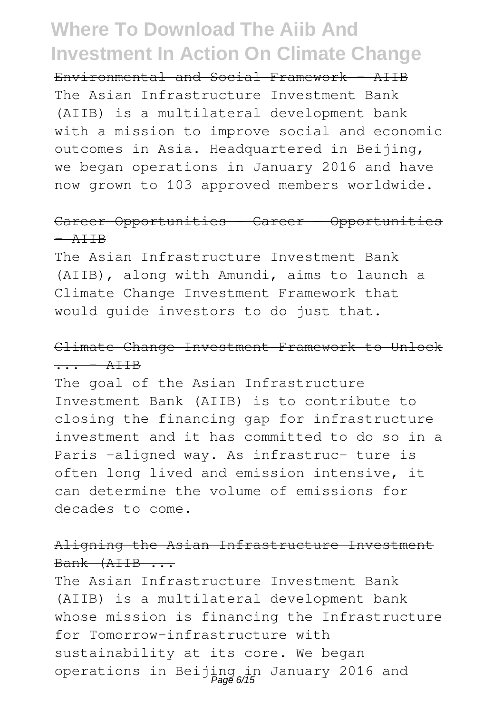Environmental and Social Framework - AIIB The Asian Infrastructure Investment Bank (AIIB) is a multilateral development bank with a mission to improve social and economic outcomes in Asia. Headquartered in Beijing, we began operations in January 2016 and have now grown to 103 approved members worldwide.

#### Career Opportunities - Career - Opportunities  $A$  $H$  $B$

The Asian Infrastructure Investment Bank (AIIB), along with Amundi, aims to launch a Climate Change Investment Framework that would guide investors to do just that.

#### Climate Change Investment Framework to Unlock  $\overline{\cdots}$  - AIIB

The goal of the Asian Infrastructure Investment Bank (AIIB) is to contribute to closing the financing gap for infrastructure investment and it has committed to do so in a Paris -aligned way. As infrastruc- ture is often long lived and emission intensive, it can determine the volume of emissions for decades to come.

### Aligning the Asian Infrastructure Investment Bank (AIIB ...

The Asian Infrastructure Investment Bank (AIIB) is a multilateral development bank whose mission is financing the Infrastructure for Tomorrow-infrastructure with sustainability at its core. We began operations in Beijing in January 2016 and Page 6/15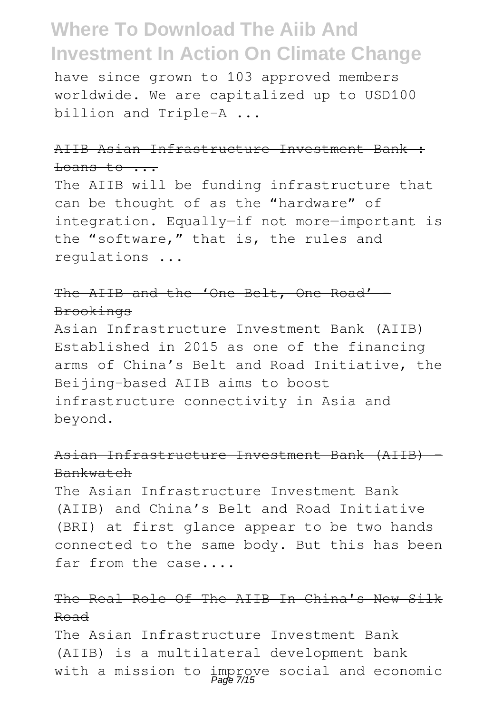have since grown to 103 approved members worldwide. We are capitalized up to USD100 billion and Triple-A ...

#### AIIB Asian Infrastructure Investment Bank :  $\frac{\text{L}^{\text{max}}}{\text{L}^{\text{max}}}$

The AIIB will be funding infrastructure that can be thought of as the "hardware" of integration. Equally—if not more—important is the "software," that is, the rules and regulations ...

### The AIIB and the 'One Belt, One Road' -Brookings

Asian Infrastructure Investment Bank (AIIB) Established in 2015 as one of the financing arms of China's Belt and Road Initiative, the Beijing-based AIIB aims to boost infrastructure connectivity in Asia and beyond.

### Asian Infrastructure Investment Bank (AIIB) - Bankwatch

The Asian Infrastructure Investment Bank (AIIB) and China's Belt and Road Initiative (BRI) at first glance appear to be two hands connected to the same body. But this has been far from the case....

### The Real Role Of The AIIB In China's New Silk Road

The Asian Infrastructure Investment Bank (AIIB) is a multilateral development bank with a mission to improve social and economic<br>Page 7/15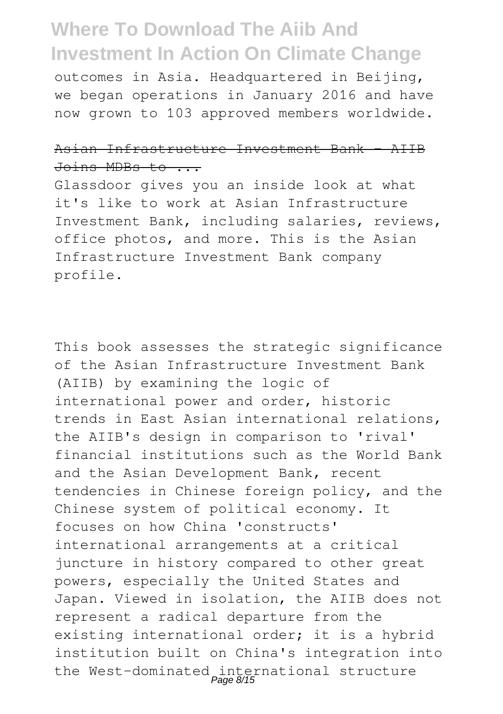outcomes in Asia. Headquartered in Beijing, we began operations in January 2016 and have now grown to 103 approved members worldwide.

#### Asian Infrastructure Investment Bank - AIIB Joins MDBs to ...

Glassdoor gives you an inside look at what it's like to work at Asian Infrastructure Investment Bank, including salaries, reviews, office photos, and more. This is the Asian Infrastructure Investment Bank company profile.

This book assesses the strategic significance of the Asian Infrastructure Investment Bank (AIIB) by examining the logic of international power and order, historic trends in East Asian international relations, the AIIB's design in comparison to 'rival' financial institutions such as the World Bank and the Asian Development Bank, recent tendencies in Chinese foreign policy, and the Chinese system of political economy. It focuses on how China 'constructs' international arrangements at a critical juncture in history compared to other great powers, especially the United States and Japan. Viewed in isolation, the AIIB does not represent a radical departure from the existing international order; it is a hybrid institution built on China's integration into the West-dominated international structure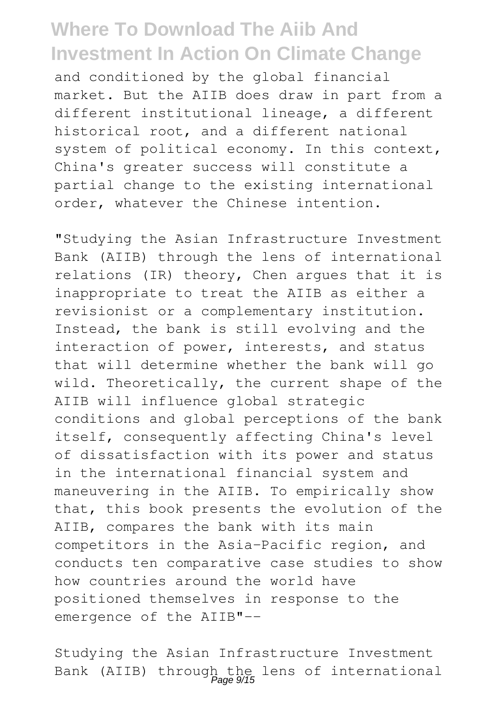and conditioned by the global financial market. But the AIIB does draw in part from a different institutional lineage, a different historical root, and a different national system of political economy. In this context, China's greater success will constitute a partial change to the existing international order, whatever the Chinese intention.

"Studying the Asian Infrastructure Investment Bank (AIIB) through the lens of international relations (IR) theory, Chen argues that it is inappropriate to treat the AIIB as either a revisionist or a complementary institution. Instead, the bank is still evolving and the interaction of power, interests, and status that will determine whether the bank will go wild. Theoretically, the current shape of the AIIB will influence global strategic conditions and global perceptions of the bank itself, consequently affecting China's level of dissatisfaction with its power and status in the international financial system and maneuvering in the AIIB. To empirically show that, this book presents the evolution of the AIIB, compares the bank with its main competitors in the Asia-Pacific region, and conducts ten comparative case studies to show how countries around the world have positioned themselves in response to the emergence of the AIIB"--

Studying the Asian Infrastructure Investment Bank (AIIB) through the lens of international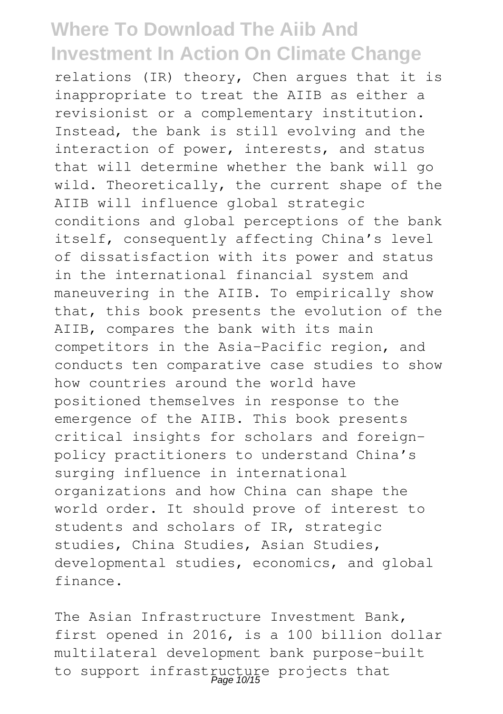relations (IR) theory, Chen argues that it is inappropriate to treat the AIIB as either a revisionist or a complementary institution. Instead, the bank is still evolving and the interaction of power, interests, and status that will determine whether the bank will go wild. Theoretically, the current shape of the AIIB will influence global strategic conditions and global perceptions of the bank itself, consequently affecting China's level of dissatisfaction with its power and status in the international financial system and maneuvering in the AIIB. To empirically show that, this book presents the evolution of the AIIB, compares the bank with its main competitors in the Asia-Pacific region, and conducts ten comparative case studies to show how countries around the world have positioned themselves in response to the emergence of the AIIB. This book presents critical insights for scholars and foreignpolicy practitioners to understand China's surging influence in international organizations and how China can shape the world order. It should prove of interest to students and scholars of IR, strategic studies, China Studies, Asian Studies, developmental studies, economics, and global finance.

The Asian Infrastructure Investment Bank, first opened in 2016, is a 100 billion dollar multilateral development bank purpose-built to support infrastructure projects that<br>Page 10/15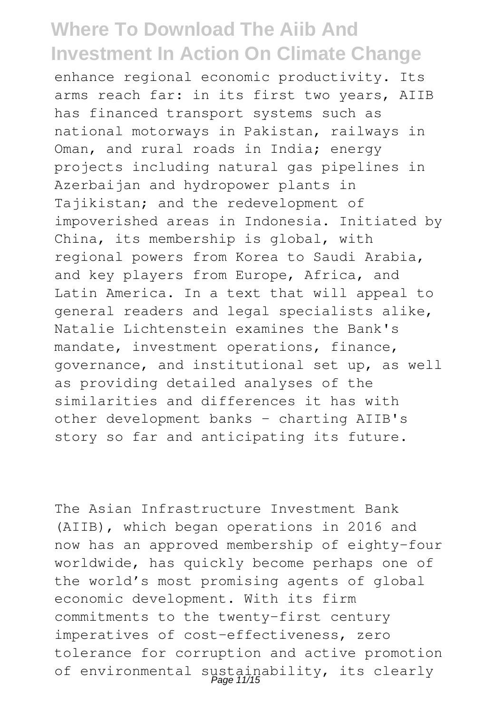enhance regional economic productivity. Its arms reach far: in its first two years, AIIB has financed transport systems such as national motorways in Pakistan, railways in Oman, and rural roads in India; energy projects including natural gas pipelines in Azerbaijan and hydropower plants in Tajikistan; and the redevelopment of impoverished areas in Indonesia. Initiated by China, its membership is global, with regional powers from Korea to Saudi Arabia, and key players from Europe, Africa, and Latin America. In a text that will appeal to general readers and legal specialists alike, Natalie Lichtenstein examines the Bank's mandate, investment operations, finance, governance, and institutional set up, as well as providing detailed analyses of the similarities and differences it has with other development banks - charting AIIB's story so far and anticipating its future.

The Asian Infrastructure Investment Bank (AIIB), which began operations in 2016 and now has an approved membership of eighty-four worldwide, has quickly become perhaps one of the world's most promising agents of global economic development. With its firm commitments to the twenty-first century imperatives of cost-effectiveness, zero tolerance for corruption and active promotion of environmental sustainability, its clearly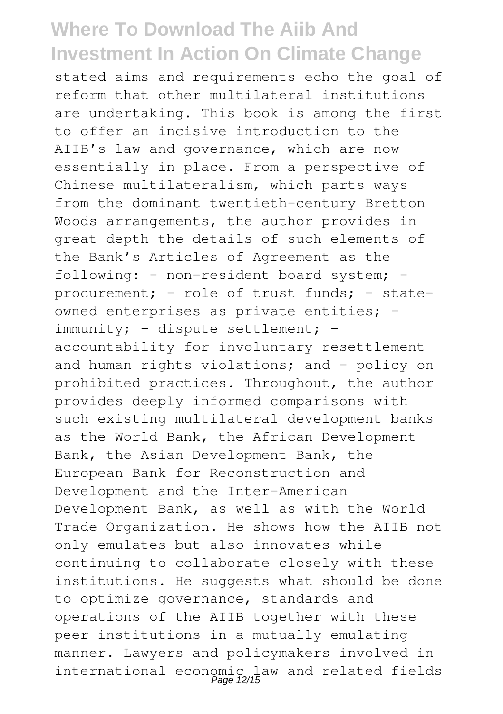stated aims and requirements echo the goal of reform that other multilateral institutions are undertaking. This book is among the first to offer an incisive introduction to the AIIB's law and governance, which are now essentially in place. From a perspective of Chinese multilateralism, which parts ways from the dominant twentieth-century Bretton Woods arrangements, the author provides in great depth the details of such elements of the Bank's Articles of Agreement as the following: – non-resident board system; – procurement; – role of trust funds; – stateowned enterprises as private entities; – immunity; – dispute settlement; – accountability for involuntary resettlement and human rights violations; and – policy on prohibited practices. Throughout, the author provides deeply informed comparisons with such existing multilateral development banks as the World Bank, the African Development Bank, the Asian Development Bank, the European Bank for Reconstruction and Development and the Inter-American Development Bank, as well as with the World Trade Organization. He shows how the AIIB not only emulates but also innovates while continuing to collaborate closely with these institutions. He suggests what should be done to optimize governance, standards and operations of the AIIB together with these peer institutions in a mutually emulating manner. Lawyers and policymakers involved in international economic law and related fields Page 12/15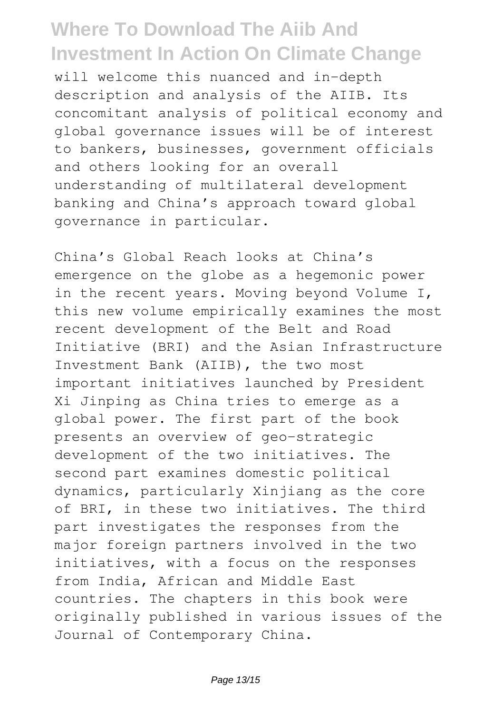will welcome this nuanced and in-depth description and analysis of the AIIB. Its concomitant analysis of political economy and global governance issues will be of interest to bankers, businesses, government officials and others looking for an overall understanding of multilateral development banking and China's approach toward global governance in particular.

China's Global Reach looks at China's emergence on the globe as a hegemonic power in the recent years. Moving beyond Volume I, this new volume empirically examines the most recent development of the Belt and Road Initiative (BRI) and the Asian Infrastructure Investment Bank (AIIB), the two most important initiatives launched by President Xi Jinping as China tries to emerge as a global power. The first part of the book presents an overview of geo-strategic development of the two initiatives. The second part examines domestic political dynamics, particularly Xinjiang as the core of BRI, in these two initiatives. The third part investigates the responses from the major foreign partners involved in the two initiatives, with a focus on the responses from India, African and Middle East countries. The chapters in this book were originally published in various issues of the Journal of Contemporary China.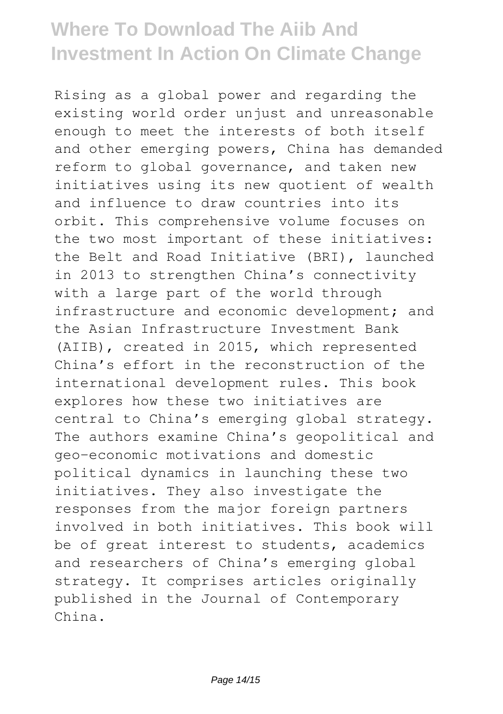Rising as a global power and regarding the existing world order unjust and unreasonable enough to meet the interests of both itself and other emerging powers, China has demanded reform to global governance, and taken new initiatives using its new quotient of wealth and influence to draw countries into its orbit. This comprehensive volume focuses on the two most important of these initiatives: the Belt and Road Initiative (BRI), launched in 2013 to strengthen China's connectivity with a large part of the world through infrastructure and economic development; and the Asian Infrastructure Investment Bank (AIIB), created in 2015, which represented China's effort in the reconstruction of the international development rules. This book explores how these two initiatives are central to China's emerging global strategy. The authors examine China's geopolitical and geo-economic motivations and domestic political dynamics in launching these two initiatives. They also investigate the responses from the major foreign partners involved in both initiatives. This book will be of great interest to students, academics and researchers of China's emerging global strategy. It comprises articles originally published in the Journal of Contemporary China.